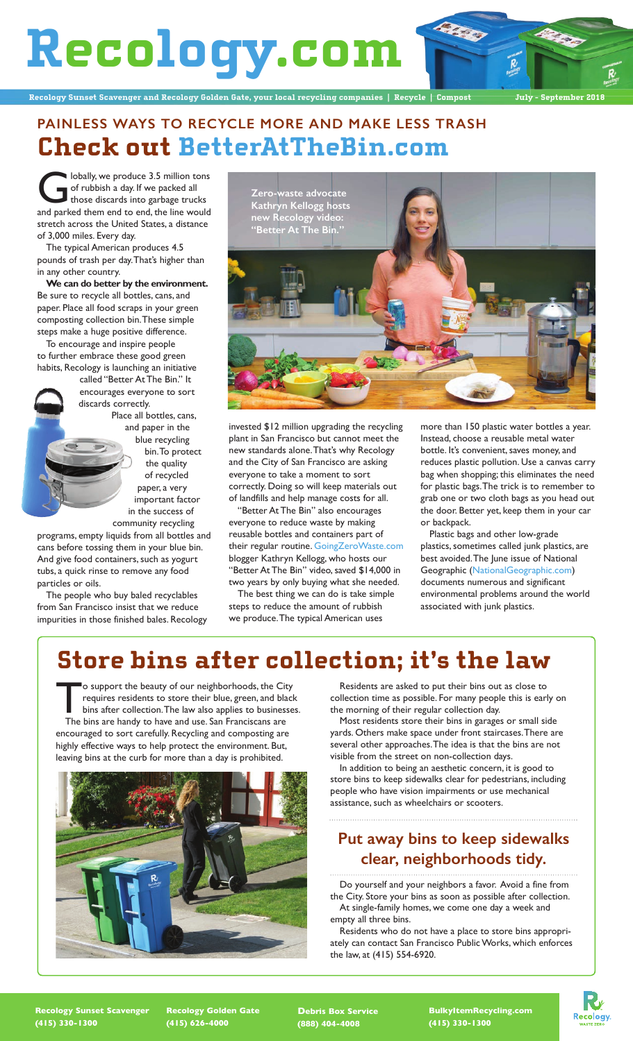**Recology.com**

**Recology Sunset Scavenger and Recology Golden Gate, your local recycling companies | Recycle | Compost July - September 2018**

#### **PAINLESS WAYS TO RECYCLE MORE AND MAKE LESS TRASH Check out BetterAtTheBin.com**

**Globally, we produce 3.5 million tons**<br>of rubbish a day. If we packed all<br>those discards into garbage trucks<br>and parked them end to end the line would of rubbish a day. If we packed all and parked them end to end, the line would stretch across the United States, a distance of 3,000 miles. Every day.

The typical American produces 4.5 pounds of trash per day. That's higher than in any other country.

**We can do better by the environment.** Be sure to recycle all bottles, cans, and paper. Place all food scraps in your green composting collection bin. These simple steps make a huge positive difference.

To encourage and inspire people to further embrace these good green habits, Recology is launching an initiative

called "Better At The Bin." It encourages everyone to sort discards correctly. Place all bottles, cans,

and paper in the blue recycling bin. To protect the quality of recycled paper, a very important factor in the success of

community recycling programs, empty liquids from all bottles and cans before tossing them in your blue bin. And give food containers, such as yogurt tubs, a quick rinse to remove any food particles or oils.

The people who buy baled recyclables from San Francisco insist that we reduce impurities in those finished bales. Recology



invested \$12 million upgrading the recycling plant in San Francisco but cannot meet the new standards alone. That's why Recology and the City of San Francisco are asking everyone to take a moment to sort correctly. Doing so will keep materials out of landfills and help manage costs for all.

"Better At The Bin" also encourages everyone to reduce waste by making reusable bottles and containers part of their regular routine. GoingZeroWaste.com blogger Kathryn Kellogg, who hosts our "Better At The Bin" video, saved \$14,000 in two years by only buying what she needed.

The best thing we can do is take simple steps to reduce the amount of rubbish we produce. The typical American uses

more than 150 plastic water bottles a year. Instead, choose a reusable metal water bottle. It's convenient, saves money, and reduces plastic pollution. Use a canvas carry bag when shopping; this eliminates the need for plastic bags. The trick is to remember to grab one or two cloth bags as you head out the door. Better yet, keep them in your car or backpack.

Plastic bags and other low-grade plastics, sometimes called junk plastics, are best avoided. The June issue of National Geographic (NationalGeographic.com) documents numerous and significant environmental problems around the world associated with junk plastics.

#### **Store bins after collection; it's the law**

To support the beauty of our neighborhoods, the City<br>requires residents to store their blue, green, and black<br>bins after collection. The law also applies to businesses.<br>The bins are bandy to baye and use San Emagineera are requires residents to store their blue, green, and black The bins are handy to have and use. San Franciscans are encouraged to sort carefully. Recycling and composting are highly effective ways to help protect the environment. But, leaving bins at the curb for more than a day is prohibited.



Residents are asked to put their bins out as close to collection time as possible. For many people this is early on the morning of their regular collection day.

Most residents store their bins in garages or small side yards. Others make space under front staircases. There are several other approaches. The idea is that the bins are not visible from the street on non-collection days.

In addition to being an aesthetic concern, it is good to store bins to keep sidewalks clear for pedestrians, including people who have vision impairments or use mechanical assistance, such as wheelchairs or scooters.

#### **Put away bins to keep sidewalks clear, neighborhoods tidy.**

Do yourself and your neighbors a favor. Avoid a fine from the City. Store your bins as soon as possible after collection. At single-family homes, we come one day a week and empty all three bins.

Residents who do not have a place to store bins appropriately can contact San Francisco Public Works, which enforces the law, at (415) 554-6920.

**Recology Sunset Scavenger (415) 330-1300**

**Recology Golden Gate (415) 626-4000**

**Debris Box Service (888) 404-4008**

**BulkyItemRecycling.com (415) 330-1300**

Recology.